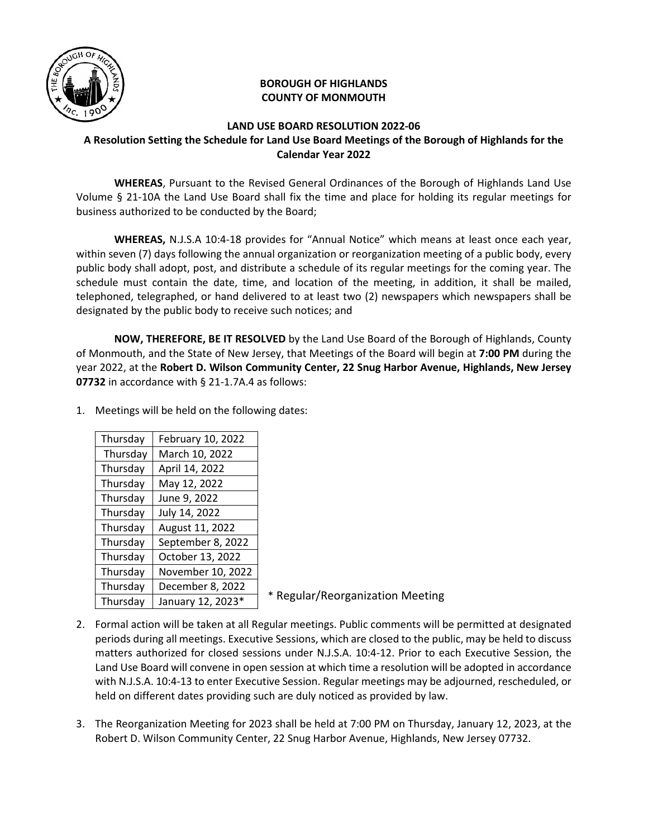

## **BOROUGH OF HIGHLANDS COUNTY OF MONMOUTH**

## **LAND USE BOARD RESOLUTION 2022-06 A Resolution Setting the Schedule for Land Use Board Meetings of the Borough of Highlands for the Calendar Year 2022**

 **WHEREAS**, Pursuant to the Revised General Ordinances of the Borough of Highlands Land Use Volume § 21-10A the Land Use Board shall fix the time and place for holding its regular meetings for business authorized to be conducted by the Board;

**WHEREAS,** N.J.S.A 10:4-18 provides for "Annual Notice" which means at least once each year, within seven (7) days following the annual organization or reorganization meeting of a public body, every public body shall adopt, post, and distribute a schedule of its regular meetings for the coming year. The schedule must contain the date, time, and location of the meeting, in addition, it shall be mailed, telephoned, telegraphed, or hand delivered to at least two (2) newspapers which newspapers shall be designated by the public body to receive such notices; and

**NOW, THEREFORE, BE IT RESOLVED** by the Land Use Board of the Borough of Highlands, County of Monmouth, and the State of New Jersey, that Meetings of the Board will begin at **7:00 PM** during the year 2022, at the **Robert D. Wilson Community Center, 22 Snug Harbor Avenue, Highlands, New Jersey 07732** in accordance with § 21-1.7A.4 as follows:

- Thursday February 10, 2022 Thursday | March 10, 2022 Thursday  $\vert$  April 14, 2022 Thursday  $\vert$  May 12, 2022 Thursday  $\vert$  June 9, 2022 Thursday  $\vert$  July 14, 2022 Thursday | August 11, 2022 Thursday | September 8, 2022 Thursday  $\vert$  October 13, 2022 Thursday | November 10, 2022 Thursday December 8, 2022 Thursday | January 12, 2023 $*$
- 1. Meetings will be held on the following dates:

\* Regular/Reorganization Meeting

- 2. Formal action will be taken at all Regular meetings. Public comments will be permitted at designated periods during all meetings. Executive Sessions, which are closed to the public, may be held to discuss matters authorized for closed sessions under N.J.S.A. 10:4-12. Prior to each Executive Session, the Land Use Board will convene in open session at which time a resolution will be adopted in accordance with N.J.S.A. 10:4-13 to enter Executive Session. Regular meetings may be adjourned, rescheduled, or held on different dates providing such are duly noticed as provided by law.
- 3. The Reorganization Meeting for 2023 shall be held at 7:00 PM on Thursday, January 12, 2023, at the Robert D. Wilson Community Center, 22 Snug Harbor Avenue, Highlands, New Jersey 07732.